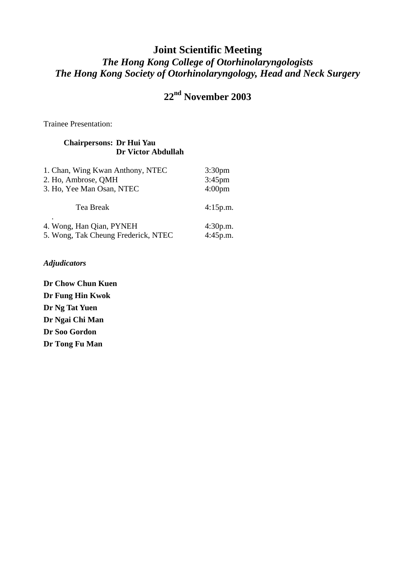## **Joint Scientific Meeting**  *The Hong Kong College of Otorhinolaryngologists The Hong Kong Society of Otorhinolaryngology, Head and Neck Surgery*

# **22nd November 2003**

Trainee Presentation:

## **Chairpersons: Dr Hui Yau Dr Victor Abdullah**

| 1. Chan, Wing Kwan Anthony, NTEC                                | 3:30 <sub>pm</sub>   |
|-----------------------------------------------------------------|----------------------|
| 2. Ho, Ambrose, QMH                                             | $3:45$ pm            |
| 3. Ho, Yee Man Osan, NTEC                                       | 4:00 <sub>pm</sub>   |
| Tea Break                                                       | 4:15p.m.             |
| 4. Wong, Han Qian, PYNEH<br>5. Wong, Tak Cheung Frederick, NTEC | 4:30p.m.<br>4:45p.m. |

*Adjudicators* 

**Dr Chow Chun Kuen Dr Fung Hin Kwok Dr Ng Tat Yuen Dr Ngai Chi Man Dr Soo Gordon Dr Tong Fu Man**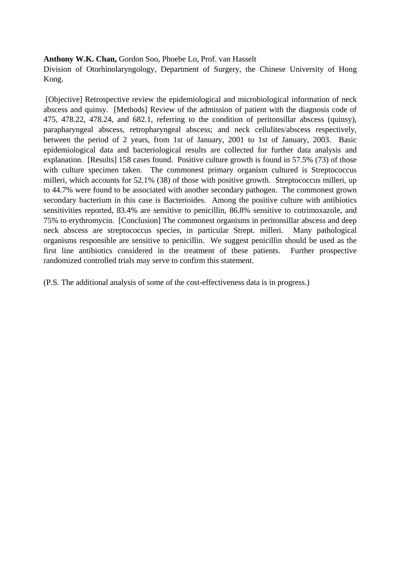## **Anthony W.K. Chan,** Gordon Soo, Phoebe Lo, Prof. van Hasselt

Division of Otorhinolaryngology, Department of Surgery, the Chinese University of Hong Kong.

 [Objective] Retrospective review the epidemiological and microbiological information of neck abscess and quinsy. [Methods] Review of the admission of patient with the diagnosis code of 475, 478.22, 478.24, and 682.1, referring to the condition of peritonsillar abscess (quinsy), parapharyngeal abscess, retropharyngeal abscess; and neck cellulites/abscess respectively, between the period of 2 years, from 1st of January, 2001 to 1st of January, 2003. Basic epidemiological data and bacteriological results are collected for further data analysis and explanation. [Results] 158 cases found. Positive culture growth is found in 57.5% (73) of those with culture specimen taken. The commonest primary organism cultured is Streptococcus milleri, which accounts for 52.1% (38) of those with positive growth. Streptococcus milleri, up to 44.7% were found to be associated with another secondary pathogen. The commonest grown secondary bacterium in this case is Bacterioides. Among the positive culture with antibiotics sensitivities reported, 83.4% are sensitive to penicillin, 86.8% sensitive to cotrimoxazole, and 75% to erythromycin. [Conclusion] The commonest organisms in peritonsillar abscess and deep neck abscess are streptococcus species, in particular Strept. milleri. Many pathological organisms responsible are sensitive to penicillin. We suggest penicillin should be used as the first line antibiotics considered in the treatment of these patients. Further prospective randomized controlled trials may serve to confirm this statement.

(P.S. The additional analysis of some of the cost-effectiveness data is in progress.)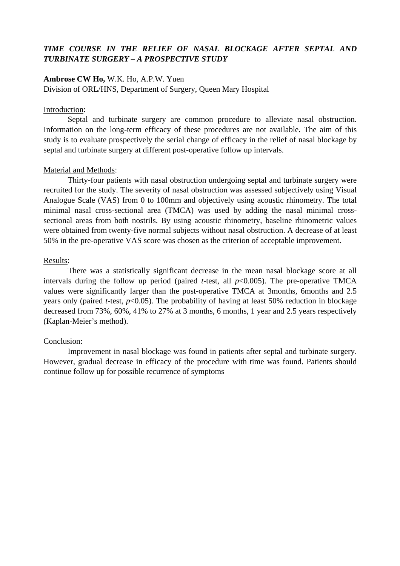## *TIME COURSE IN THE RELIEF OF NASAL BLOCKAGE AFTER SEPTAL AND TURBINATE SURGERY – A PROSPECTIVE STUDY*

#### **Ambrose CW Ho,** W.K. Ho, A.P.W. Yuen

Division of ORL/HNS, Department of Surgery, Queen Mary Hospital

#### Introduction:

 Septal and turbinate surgery are common procedure to alleviate nasal obstruction. Information on the long-term efficacy of these procedures are not available. The aim of this study is to evaluate prospectively the serial change of efficacy in the relief of nasal blockage by septal and turbinate surgery at different post-operative follow up intervals.

#### Material and Methods:

 Thirty-four patients with nasal obstruction undergoing septal and turbinate surgery were recruited for the study. The severity of nasal obstruction was assessed subjectively using Visual Analogue Scale (VAS) from 0 to 100mm and objectively using acoustic rhinometry. The total minimal nasal cross-sectional area (TMCA) was used by adding the nasal minimal crosssectional areas from both nostrils. By using acoustic rhinometry, baseline rhinometric values were obtained from twenty-five normal subjects without nasal obstruction. A decrease of at least 50% in the pre-operative VAS score was chosen as the criterion of acceptable improvement.

#### Results:

 There was a statistically significant decrease in the mean nasal blockage score at all intervals during the follow up period (paired *t*-test, all *p*<0.005). The pre-operative TMCA values were significantly larger than the post-operative TMCA at 3months, 6months and 2.5 years only (paired *t*-test, *p*<0.05). The probability of having at least 50% reduction in blockage decreased from 73%, 60%, 41% to 27% at 3 months, 6 months, 1 year and 2.5 years respectively (Kaplan-Meier's method).

#### Conclusion:

 Improvement in nasal blockage was found in patients after septal and turbinate surgery. However, gradual decrease in efficacy of the procedure with time was found. Patients should continue follow up for possible recurrence of symptoms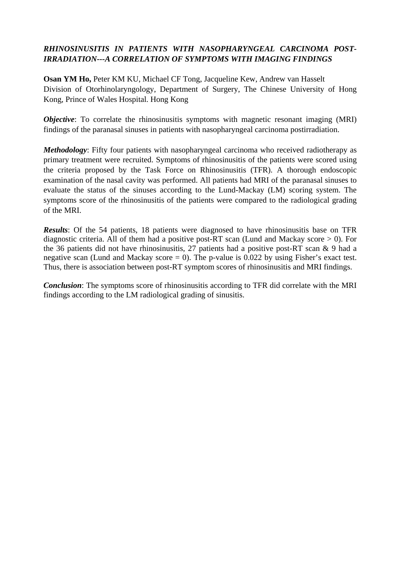## *RHINOSINUSITIS IN PATIENTS WITH NASOPHARYNGEAL CARCINOMA POST-IRRADIATION---A CORRELATION OF SYMPTOMS WITH IMAGING FINDINGS*

**Osan YM Ho,** Peter KM KU, Michael CF Tong, Jacqueline Kew, Andrew van Hasselt Division of Otorhinolaryngology, Department of Surgery, The Chinese University of Hong Kong, Prince of Wales Hospital. Hong Kong

*Objective*: To correlate the rhinosinusitis symptoms with magnetic resonant imaging (MRI) findings of the paranasal sinuses in patients with nasopharyngeal carcinoma postirradiation.

*Methodology*: Fifty four patients with nasopharyngeal carcinoma who received radiotherapy as primary treatment were recruited. Symptoms of rhinosinusitis of the patients were scored using the criteria proposed by the Task Force on Rhinosinusitis (TFR). A thorough endoscopic examination of the nasal cavity was performed. All patients had MRI of the paranasal sinuses to evaluate the status of the sinuses according to the Lund-Mackay (LM) scoring system. The symptoms score of the rhinosinusitis of the patients were compared to the radiological grading of the MRI.

*Results*: Of the 54 patients, 18 patients were diagnosed to have rhinosinusitis base on TFR diagnostic criteria. All of them had a positive post-RT scan (Lund and Mackay score  $> 0$ ). For the 36 patients did not have rhinosinusitis, 27 patients had a positive post-RT scan & 9 had a negative scan (Lund and Mackay score  $= 0$ ). The p-value is 0.022 by using Fisher's exact test. Thus, there is association between post-RT symptom scores of rhinosinusitis and MRI findings.

*Conclusion*: The symptoms score of rhinosinusitis according to TFR did correlate with the MRI findings according to the LM radiological grading of sinusitis.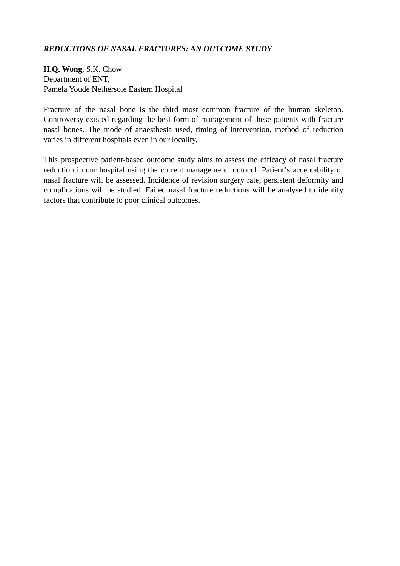## *REDUCTIONS OF NASAL FRACTURES: AN OUTCOME STUDY*

**H.Q. Wong**, S.K. Chow Department of ENT, Pamela Youde Nethersole Eastern Hospital

Fracture of the nasal bone is the third most common fracture of the human skeleton. Controversy existed regarding the best form of management of these patients with fracture nasal bones. The mode of anaesthesia used, timing of intervention, method of reduction varies in different hospitals even in our locality.

This prospective patient-based outcome study aims to assess the efficacy of nasal fracture reduction in our hospital using the current management protocol. Patient's acceptability of nasal fracture will be assessed. Incidence of revision surgery rate, persistent deformity and complications will be studied. Failed nasal fracture reductions will be analysed to identify factors that contribute to poor clinical outcomes.